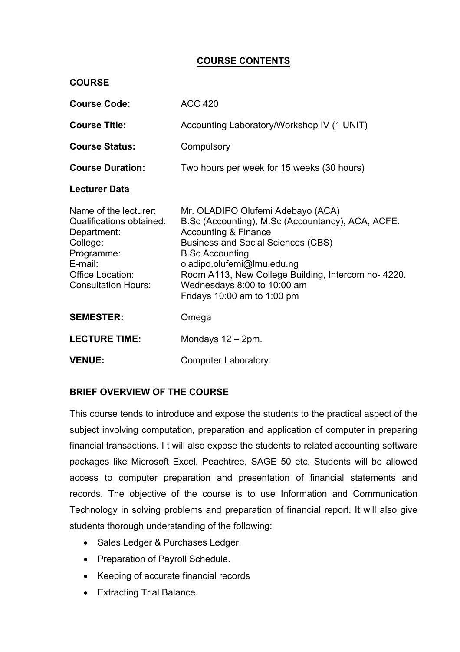# **COURSE CONTENTS**

| <b>COURSE</b>                                                                                                                                                  |                                                                                                                                                                                                                                                                                                                                                         |
|----------------------------------------------------------------------------------------------------------------------------------------------------------------|---------------------------------------------------------------------------------------------------------------------------------------------------------------------------------------------------------------------------------------------------------------------------------------------------------------------------------------------------------|
| <b>Course Code:</b>                                                                                                                                            | <b>ACC 420</b>                                                                                                                                                                                                                                                                                                                                          |
| <b>Course Title:</b>                                                                                                                                           | Accounting Laboratory/Workshop IV (1 UNIT)                                                                                                                                                                                                                                                                                                              |
| <b>Course Status:</b>                                                                                                                                          | Compulsory                                                                                                                                                                                                                                                                                                                                              |
| <b>Course Duration:</b>                                                                                                                                        | Two hours per week for 15 weeks (30 hours)                                                                                                                                                                                                                                                                                                              |
| <b>Lecturer Data</b>                                                                                                                                           |                                                                                                                                                                                                                                                                                                                                                         |
| Name of the lecturer:<br><b>Qualifications obtained:</b><br>Department:<br>College:<br>Programme:<br>E-mail:<br>Office Location:<br><b>Consultation Hours:</b> | Mr. OLADIPO Olufemi Adebayo (ACA)<br>B.Sc (Accounting), M.Sc (Accountancy), ACA, ACFE.<br><b>Accounting &amp; Finance</b><br><b>Business and Social Sciences (CBS)</b><br><b>B.Sc Accounting</b><br>oladipo.olufemi@lmu.edu.ng<br>Room A113, New College Building, Intercom no- 4220.<br>Wednesdays 8:00 to 10:00 am<br>Fridays $10:00$ am to $1:00$ pm |
| <b>SEMESTER:</b>                                                                                                                                               | Omega                                                                                                                                                                                                                                                                                                                                                   |
| <b>LECTURE TIME:</b>                                                                                                                                           | Mondays $12 - 2$ pm.                                                                                                                                                                                                                                                                                                                                    |
| <b>VENUE:</b>                                                                                                                                                  | Computer Laboratory.                                                                                                                                                                                                                                                                                                                                    |

# **BRIEF OVERVIEW OF THE COURSE**

This course tends to introduce and expose the students to the practical aspect of the subject involving computation, preparation and application of computer in preparing financial transactions. I t will also expose the students to related accounting software packages like Microsoft Excel, Peachtree, SAGE 50 etc. Students will be allowed access to computer preparation and presentation of financial statements and records. The objective of the course is to use Information and Communication Technology in solving problems and preparation of financial report. It will also give students thorough understanding of the following:

- Sales Ledger & Purchases Ledger.
- Preparation of Payroll Schedule.
- Keeping of accurate financial records
- **Extracting Trial Balance.**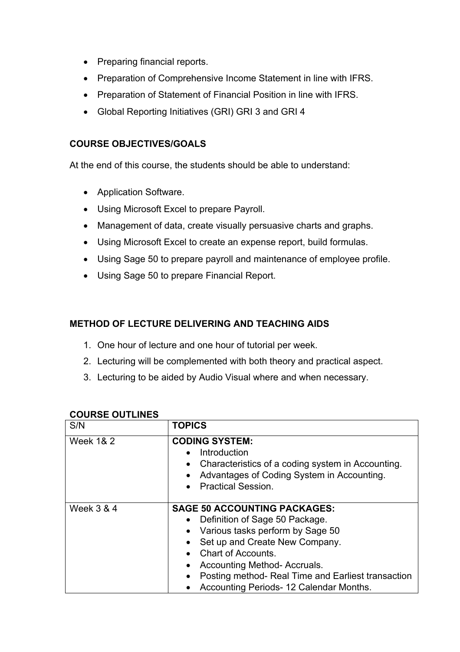- Preparing financial reports.
- Preparation of Comprehensive Income Statement in line with IFRS.
- Preparation of Statement of Financial Position in line with IFRS.
- Global Reporting Initiatives (GRI) GRI 3 and GRI 4

### **COURSE OBJECTIVES/GOALS**

At the end of this course, the students should be able to understand:

- Application Software.
- Using Microsoft Excel to prepare Payroll.
- Management of data, create visually persuasive charts and graphs.
- Using Microsoft Excel to create an expense report, build formulas.
- Using Sage 50 to prepare payroll and maintenance of employee profile.
- Using Sage 50 to prepare Financial Report.

# **METHOD OF LECTURE DELIVERING AND TEACHING AIDS**

- 1. One hour of lecture and one hour of tutorial per week.
- 2. Lecturing will be complemented with both theory and practical aspect.
- 3. Lecturing to be aided by Audio Visual where and when necessary.

| OUUINUL UU I LIINLU   |                                                                                                                                                                                                                                                                                                                                    |
|-----------------------|------------------------------------------------------------------------------------------------------------------------------------------------------------------------------------------------------------------------------------------------------------------------------------------------------------------------------------|
| S/N                   | <b>TOPICS</b>                                                                                                                                                                                                                                                                                                                      |
| <b>Week 1&amp; 2</b>  | <b>CODING SYSTEM:</b><br>Introduction<br>Characteristics of a coding system in Accounting.<br>$\bullet$<br>Advantages of Coding System in Accounting.<br><b>Practical Session.</b>                                                                                                                                                 |
| <b>Week 3 &amp; 4</b> | <b>SAGE 50 ACCOUNTING PACKAGES:</b><br>Definition of Sage 50 Package.<br>Various tasks perform by Sage 50<br>Set up and Create New Company.<br><b>Chart of Accounts.</b><br>Accounting Method-Accruals.<br>$\bullet$<br>Posting method- Real Time and Earliest transaction<br>$\bullet$<br>Accounting Periods- 12 Calendar Months. |

# **COURSE OUTLINES**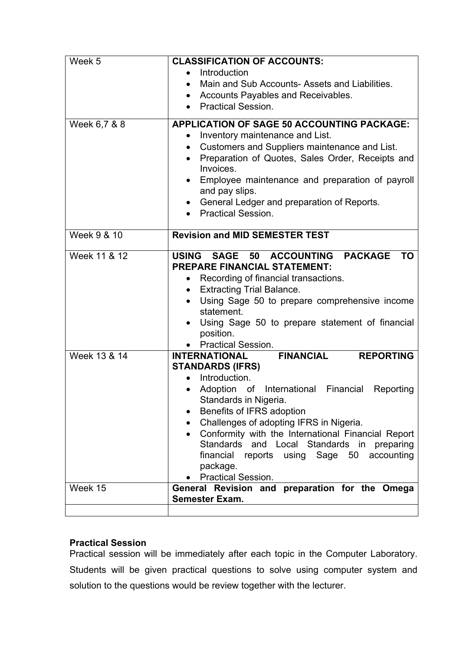| Week 5       | <b>CLASSIFICATION OF ACCOUNTS:</b>                                                            |
|--------------|-----------------------------------------------------------------------------------------------|
|              | Introduction                                                                                  |
|              | Main and Sub Accounts- Assets and Liabilities.<br>$\bullet$                                   |
|              | Accounts Payables and Receivables.<br>$\bullet$                                               |
|              | <b>Practical Session.</b><br>$\bullet$                                                        |
| Week 6,7 & 8 | <b>APPLICATION OF SAGE 50 ACCOUNTING PACKAGE:</b>                                             |
|              | Inventory maintenance and List.<br>$\bullet$                                                  |
|              | Customers and Suppliers maintenance and List.<br>$\bullet$                                    |
|              | Preparation of Quotes, Sales Order, Receipts and<br>$\bullet$<br>Invoices.                    |
|              | Employee maintenance and preparation of payroll                                               |
|              | and pay slips.                                                                                |
|              | General Ledger and preparation of Reports.                                                    |
|              | <b>Practical Session.</b><br>$\bullet$                                                        |
| Week 9 & 10  | <b>Revision and MID SEMESTER TEST</b>                                                         |
|              |                                                                                               |
| Week 11 & 12 | USING SAGE 50 ACCOUNTING PACKAGE<br><b>TO</b>                                                 |
|              | <b>PREPARE FINANCIAL STATEMENT:</b>                                                           |
|              | Recording of financial transactions.<br>$\bullet$                                             |
|              | <b>Extracting Trial Balance.</b>                                                              |
|              | Using Sage 50 to prepare comprehensive income                                                 |
|              | statement.<br>Using Sage 50 to prepare statement of financial                                 |
|              | position.                                                                                     |
|              | <b>Practical Session.</b>                                                                     |
| Week 13 & 14 | <b>FINANCIAL</b><br><b>REPORTING</b><br><b>INTERNATIONAL</b>                                  |
|              | <b>STANDARDS (IFRS)</b>                                                                       |
|              | Introduction.                                                                                 |
|              | Adoption of International Financial<br>Reporting                                              |
|              | Standards in Nigeria.                                                                         |
|              | Benefits of IFRS adoption                                                                     |
|              | Challenges of adopting IFRS in Nigeria.<br>Conformity with the International Financial Report |
|              | Standards<br>and Local Standards in<br>preparing                                              |
|              | financial<br>reports using<br>Sage 50<br>accounting                                           |
|              | package.                                                                                      |
|              | <b>Practical Session.</b>                                                                     |
| Week 15      | General Revision and preparation for the Omega                                                |
|              | <b>Semester Exam.</b>                                                                         |
|              |                                                                                               |

# **Practical Session**

Practical session will be immediately after each topic in the Computer Laboratory. Students will be given practical questions to solve using computer system and solution to the questions would be review together with the lecturer.